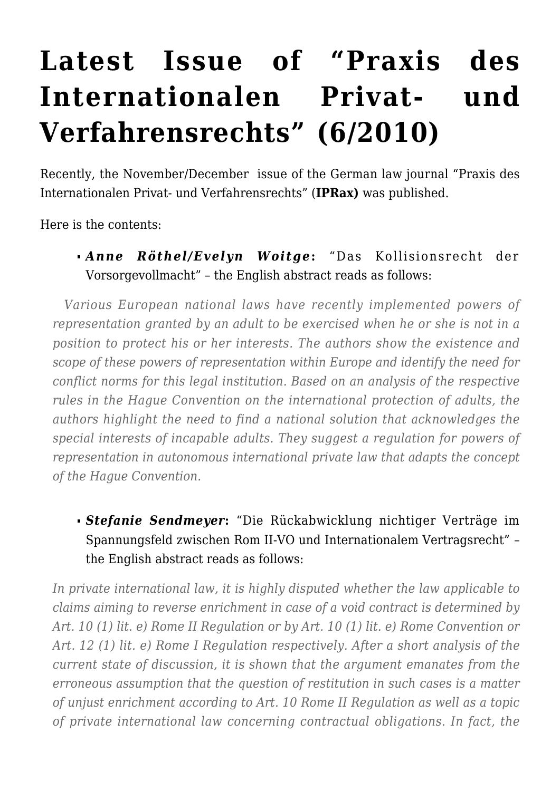# **[Latest Issue of "Praxis des](https://conflictoflaws.net/2010/latest-issue-of-%e2%80%9cpraxis-des-internationalen-privat-und-verfahrensrechts%e2%80%9d-62010/) [Internationalen Privat- und](https://conflictoflaws.net/2010/latest-issue-of-%e2%80%9cpraxis-des-internationalen-privat-und-verfahrensrechts%e2%80%9d-62010/) [Verfahrensrechts" \(6/2010\)](https://conflictoflaws.net/2010/latest-issue-of-%e2%80%9cpraxis-des-internationalen-privat-und-verfahrensrechts%e2%80%9d-62010/)**

Recently, the November/December issue of the German law journal "Praxis des Internationalen Privat- und Verfahrensrechts" (**[IPRax\)](http://www.iprax.de/)** was published.

Here is the contents:

*Anne Röthel/Evelyn Woitge***:** "Das Kollisionsrecht der Vorsorgevollmacht" – the English abstract reads as follows:

 *Various European national laws have recently implemented powers of representation granted by an adult to be exercised when he or she is not in a position to protect his or her interests. The authors show the existence and scope of these powers of representation within Europe and identify the need for conflict norms for this legal institution. Based on an analysis of the respective rules in the Hague Convention on the international protection of adults, the authors highlight the need to find a national solution that acknowledges the special interests of incapable adults. They suggest a regulation for powers of representation in autonomous international private law that adapts the concept of the Hague Convention.*

*Stefanie Sendmeyer***:** "Die Rückabwicklung nichtiger Verträge im Spannungsfeld zwischen Rom II-VO und Internationalem Vertragsrecht" – the English abstract reads as follows:

*In private international law, it is highly disputed whether the law applicable to claims aiming to reverse enrichment in case of a void contract is determined by Art. 10 (1) lit. e) Rome II Regulation or by Art. 10 (1) lit. e) Rome Convention or Art. 12 (1) lit. e) Rome I Regulation respectively. After a short analysis of the current state of discussion, it is shown that the argument emanates from the erroneous assumption that the question of restitution in such cases is a matter of unjust enrichment according to Art. 10 Rome II Regulation as well as a topic of private international law concerning contractual obligations. In fact, the*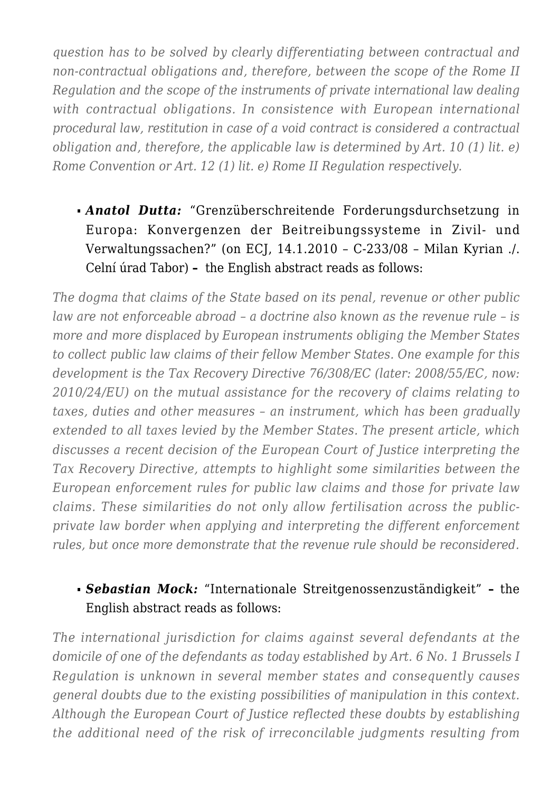*question has to be solved by clearly differentiating between contractual and non-contractual obligations and, therefore, between the scope of the Rome II Regulation and the scope of the instruments of private international law dealing with contractual obligations. In consistence with European international procedural law, restitution in case of a void contract is considered a contractual obligation and, therefore, the applicable law is determined by Art. 10 (1) lit. e) Rome Convention or Art. 12 (1) lit. e) Rome II Regulation respectively.*

*Anatol Dutta:* "Grenzüberschreitende Forderungsdurchsetzung in Europa: Konvergenzen der Beitreibungssysteme in Zivil- und Verwaltungssachen?" (on ECJ, 14.1.2010 – C-233/08 – Milan Kyrian ./. Celní úrad Tabor) **–** the English abstract reads as follows:

*The dogma that claims of the State based on its penal, revenue or other public law are not enforceable abroad – a doctrine also known as the revenue rule – is more and more displaced by European instruments obliging the Member States to collect public law claims of their fellow Member States. One example for this development is the Tax Recovery Directive 76/308/EC (later: 2008/55/EC, now: 2010/24/EU) on the mutual assistance for the recovery of claims relating to taxes, duties and other measures – an instrument, which has been gradually extended to all taxes levied by the Member States. The present article, which discusses a recent decision of the European Court of Justice interpreting the Tax Recovery Directive, attempts to highlight some similarities between the European enforcement rules for public law claims and those for private law claims. These similarities do not only allow fertilisation across the publicprivate law border when applying and interpreting the different enforcement rules, but once more demonstrate that the revenue rule should be reconsidered.*

#### *Sebastian Mock:* "Internationale Streitgenossenzuständigkeit" **–** the English abstract reads as follows:

*The international jurisdiction for claims against several defendants at the domicile of one of the defendants as today established by Art. 6 No. 1 Brussels I Regulation is unknown in several member states and consequently causes general doubts due to the existing possibilities of manipulation in this context. Although the European Court of Justice reflected these doubts by establishing the additional need of the risk of irreconcilable judgments resulting from*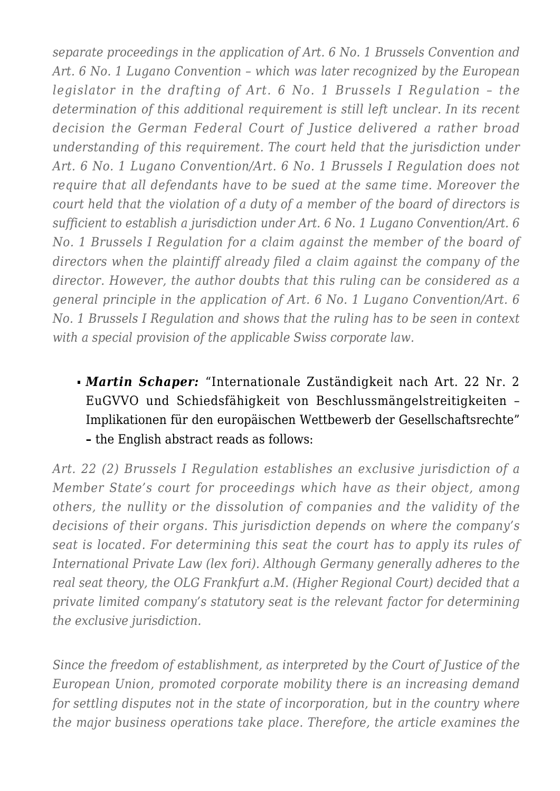*separate proceedings in the application of Art. 6 No. 1 Brussels Convention and Art. 6 No. 1 Lugano Convention – which was later recognized by the European legislator in the drafting of Art. 6 No. 1 Brussels I Regulation – the determination of this additional requirement is still left unclear. In its recent decision the German Federal Court of Justice delivered a rather broad understanding of this requirement. The court held that the jurisdiction under Art. 6 No. 1 Lugano Convention/Art. 6 No. 1 Brussels I Regulation does not require that all defendants have to be sued at the same time. Moreover the court held that the violation of a duty of a member of the board of directors is sufficient to establish a jurisdiction under Art. 6 No. 1 Lugano Convention/Art. 6 No. 1 Brussels I Regulation for a claim against the member of the board of directors when the plaintiff already filed a claim against the company of the director. However, the author doubts that this ruling can be considered as a general principle in the application of Art. 6 No. 1 Lugano Convention/Art. 6 No. 1 Brussels I Regulation and shows that the ruling has to be seen in context with a special provision of the applicable Swiss corporate law.*

*Martin Schaper:* "Internationale Zuständigkeit nach Art. 22 Nr. 2 EuGVVO und Schiedsfähigkeit von Beschlussmängelstreitigkeiten – Implikationen für den europäischen Wettbewerb der Gesellschaftsrechte" **–** the English abstract reads as follows:

*Art. 22 (2) Brussels I Regulation establishes an exclusive jurisdiction of a Member State's court for proceedings which have as their object, among others, the nullity or the dissolution of companies and the validity of the decisions of their organs. This jurisdiction depends on where the company's seat is located. For determining this seat the court has to apply its rules of International Private Law (lex fori). Although Germany generally adheres to the real seat theory, the OLG Frankfurt a.M. (Higher Regional Court) decided that a private limited company's statutory seat is the relevant factor for determining the exclusive jurisdiction.*

*Since the freedom of establishment, as interpreted by the Court of Justice of the European Union, promoted corporate mobility there is an increasing demand for settling disputes not in the state of incorporation, but in the country where the major business operations take place. Therefore, the article examines the*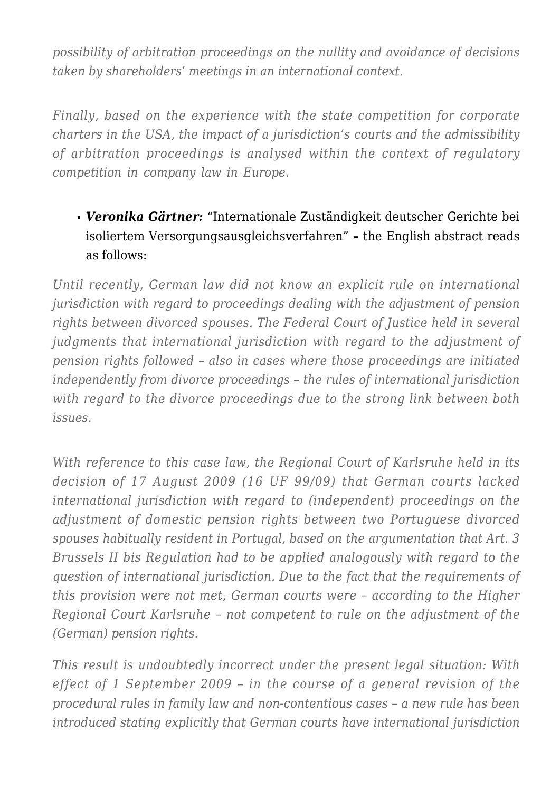*possibility of arbitration proceedings on the nullity and avoidance of decisions taken by shareholders' meetings in an international context.*

*Finally, based on the experience with the state competition for corporate charters in the USA, the impact of a jurisdiction's courts and the admissibility of arbitration proceedings is analysed within the context of regulatory competition in company law in Europe.*

# *Veronika Gärtner:* "Internationale Zuständigkeit deutscher Gerichte bei isoliertem Versorgungsausgleichsverfahren" **–** the English abstract reads as follows:

*Until recently, German law did not know an explicit rule on international jurisdiction with regard to proceedings dealing with the adjustment of pension rights between divorced spouses. The Federal Court of Justice held in several judgments that international jurisdiction with regard to the adjustment of pension rights followed – also in cases where those proceedings are initiated independently from divorce proceedings – the rules of international jurisdiction with regard to the divorce proceedings due to the strong link between both issues.*

*With reference to this case law, the Regional Court of Karlsruhe held in its decision of 17 August 2009 (16 UF 99/09) that German courts lacked international jurisdiction with regard to (independent) proceedings on the adjustment of domestic pension rights between two Portuguese divorced spouses habitually resident in Portugal, based on the argumentation that Art. 3 Brussels II bis Regulation had to be applied analogously with regard to the question of international jurisdiction. Due to the fact that the requirements of this provision were not met, German courts were – according to the Higher Regional Court Karlsruhe – not competent to rule on the adjustment of the (German) pension rights.*

*This result is undoubtedly incorrect under the present legal situation: With effect of 1 September 2009 – in the course of a general revision of the procedural rules in family law and non-contentious cases – a new rule has been introduced stating explicitly that German courts have international jurisdiction*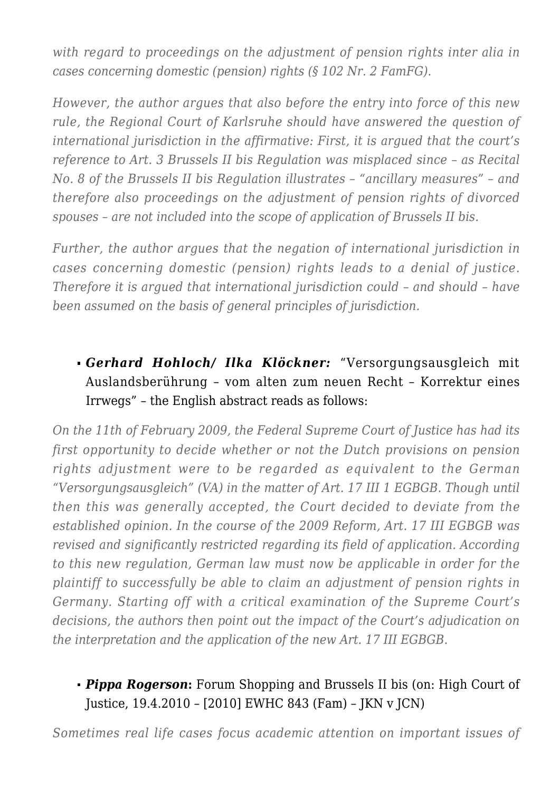*with regard to proceedings on the adjustment of pension rights inter alia in cases concerning domestic (pension) rights (§ 102 Nr. 2 FamFG).*

*However, the author argues that also before the entry into force of this new rule, the Regional Court of Karlsruhe should have answered the question of international jurisdiction in the affirmative: First, it is argued that the court's reference to Art. 3 Brussels II bis Regulation was misplaced since – as Recital No. 8 of the Brussels II bis Regulation illustrates – "ancillary measures" – and therefore also proceedings on the adjustment of pension rights of divorced spouses – are not included into the scope of application of Brussels II bis.*

*Further, the author argues that the negation of international jurisdiction in cases concerning domestic (pension) rights leads to a denial of justice. Therefore it is argued that international jurisdiction could – and should – have been assumed on the basis of general principles of jurisdiction.*

#### *Gerhard Hohloch/ Ilka Klöckner:* "Versorgungsausgleich mit Auslandsberührung – vom alten zum neuen Recht – Korrektur eines Irrwegs" – the English abstract reads as follows:

*On the 11th of February 2009, the Federal Supreme Court of Justice has had its first opportunity to decide whether or not the Dutch provisions on pension rights adjustment were to be regarded as equivalent to the German "Versorgungsausgleich" (VA) in the matter of Art. 17 III 1 EGBGB. Though until then this was generally accepted, the Court decided to deviate from the established opinion. In the course of the 2009 Reform, Art. 17 III EGBGB was revised and significantly restricted regarding its field of application. According to this new regulation, German law must now be applicable in order for the plaintiff to successfully be able to claim an adjustment of pension rights in Germany. Starting off with a critical examination of the Supreme Court's decisions, the authors then point out the impact of the Court's adjudication on the interpretation and the application of the new Art. 17 III EGBGB.*

# *Pippa Rogerson***:** Forum Shopping and Brussels II bis (on: High Court of Justice, 19.4.2010 – [2010] EWHC 843 (Fam) – JKN v JCN)

*Sometimes real life cases focus academic attention on important issues of*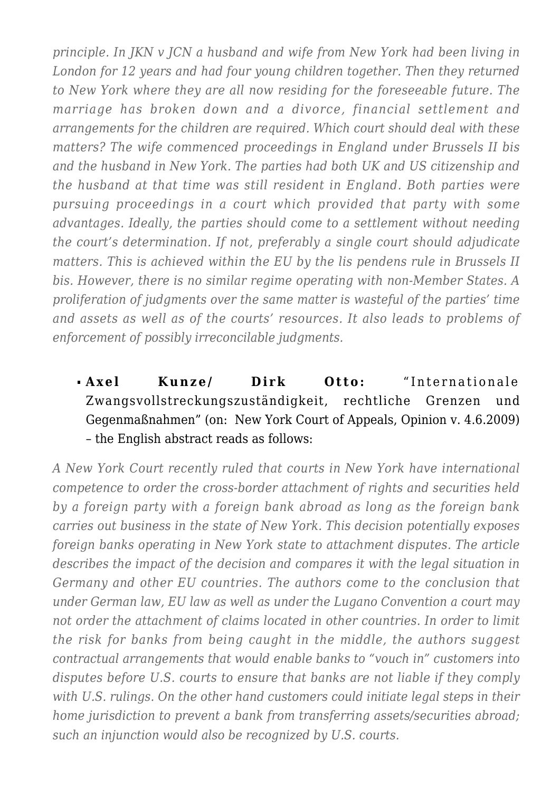*principle. In JKN v JCN a husband and wife from New York had been living in London for 12 years and had four young children together. Then they returned to New York where they are all now residing for the foreseeable future. The marriage has broken down and a divorce, financial settlement and arrangements for the children are required. Which court should deal with these matters? The wife commenced proceedings in England under Brussels II bis and the husband in New York. The parties had both UK and US citizenship and the husband at that time was still resident in England. Both parties were pursuing proceedings in a court which provided that party with some advantages. Ideally, the parties should come to a settlement without needing the court's determination. If not, preferably a single court should adjudicate matters. This is achieved within the EU by the lis pendens rule in Brussels II bis. However, there is no similar regime operating with non-Member States. A proliferation of judgments over the same matter is wasteful of the parties' time and assets as well as of the courts' resources. It also leads to problems of enforcement of possibly irreconcilable judgments.*

# **Axel Kunze/ Dirk Otto:** "Internationale Zwangsvollstreckungszuständigkeit, rechtliche Grenzen und Gegenmaßnahmen" (on: New York Court of Appeals, Opinion v. 4.6.2009) – the English abstract reads as follows:

*A New York Court recently ruled that courts in New York have international competence to order the cross-border attachment of rights and securities held by a foreign party with a foreign bank abroad as long as the foreign bank carries out business in the state of New York. This decision potentially exposes foreign banks operating in New York state to attachment disputes. The article describes the impact of the decision and compares it with the legal situation in Germany and other EU countries. The authors come to the conclusion that under German law, EU law as well as under the Lugano Convention a court may not order the attachment of claims located in other countries. In order to limit the risk for banks from being caught in the middle, the authors suggest contractual arrangements that would enable banks to "vouch in" customers into disputes before U.S. courts to ensure that banks are not liable if they comply with U.S. rulings. On the other hand customers could initiate legal steps in their home jurisdiction to prevent a bank from transferring assets/securities abroad; such an injunction would also be recognized by U.S. courts.*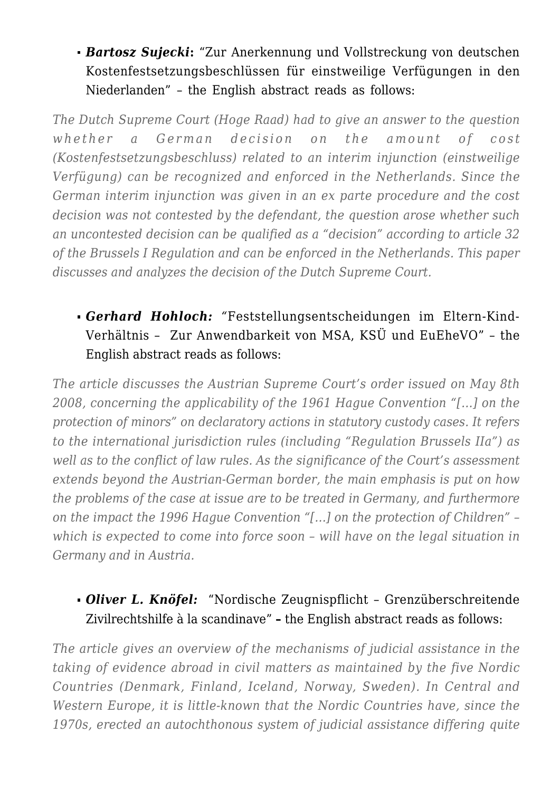*Bartosz Sujecki***:** "Zur Anerkennung und Vollstreckung von deutschen Kostenfestsetzungsbeschlüssen für einstweilige Verfügungen in den Niederlanden" – the English abstract reads as follows:

*The Dutch Supreme Court (Hoge Raad) had to give an answer to the question whether a German decision on the amount of cost (Kostenfestsetzungsbeschluss) related to an interim injunction (einstweilige Verfügung) can be recognized and enforced in the Netherlands. Since the German interim injunction was given in an ex parte procedure and the cost decision was not contested by the defendant, the question arose whether such an uncontested decision can be qualified as a "decision" according to article 32 of the Brussels I Regulation and can be enforced in the Netherlands. This paper discusses and analyzes the decision of the Dutch Supreme Court.*

#### *Gerhard Hohloch: "*Feststellungsentscheidungen im Eltern-Kind-Verhältnis – Zur Anwendbarkeit von MSA, KSÜ und EuEheVO" – the English abstract reads as follows:

*The article discusses the Austrian Supreme Court's order issued on May 8th 2008, concerning the applicability of the 1961 Hague Convention "[…] on the protection of minors" on declaratory actions in statutory custody cases. It refers to the international jurisdiction rules (including "Regulation Brussels IIa") as well as to the conflict of law rules. As the significance of the Court's assessment extends beyond the Austrian-German border, the main emphasis is put on how the problems of the case at issue are to be treated in Germany, and furthermore on the impact the 1996 Hague Convention "[…] on the protection of Children" – which is expected to come into force soon – will have on the legal situation in Germany and in Austria.*

#### *Oliver L. Knöfel:* "Nordische Zeugnispflicht – Grenzüberschreitende Zivilrechtshilfe à la scandinave" **–** the English abstract reads as follows:

*The article gives an overview of the mechanisms of judicial assistance in the taking of evidence abroad in civil matters as maintained by the five Nordic Countries (Denmark, Finland, Iceland, Norway, Sweden). In Central and Western Europe, it is little-known that the Nordic Countries have, since the 1970s, erected an autochthonous system of judicial assistance differing quite*